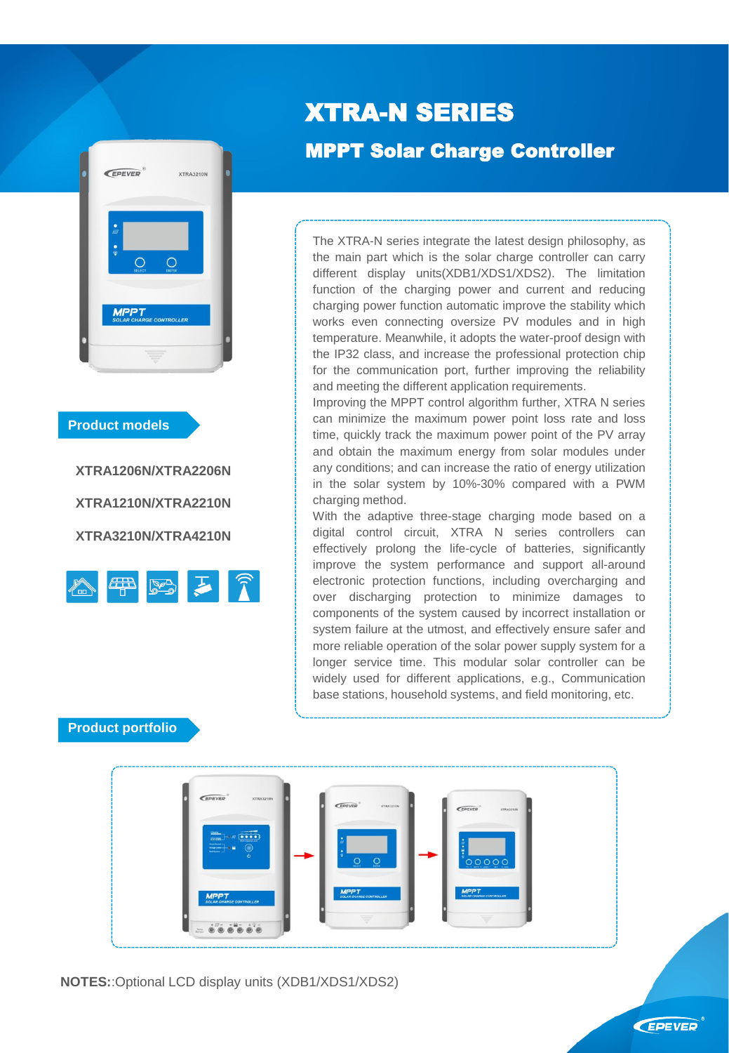

#### **Product models**

**XTRA1206N/XTRA2206N XTRA1210N/XTRA2210N XTRA3210N/XTRA4210N**



# XTRA-N SERIES

÷

# MPPT Solar Charge Controller

The XTRA-N series integrate the latest design philosophy, as the main part which is the solar charge controller can carry different display units(XDB1/XDS1/XDS2). The limitation function of the charging power and current and reducing charging power function automatic improve the stability which works even connecting oversize PV modules and in high temperature. Meanwhile, it adopts the water-proof design with the IP32 class, and increase the professional protection chip for the communication port, further improving the reliability and meeting the different application requirements.

Improving the MPPT control algorithm further, XTRA N series can minimize the maximum power point loss rate and loss time, quickly track the maximum power point of the PV array and obtain the maximum energy from solar modules under any conditions; and can increase the ratio of energy utilization in the solar system by 10%-30% compared with a PWM charging method.

With the adaptive three-stage charging mode based on a digital control circuit, XTRA N series controllers can effectively prolong the life-cycle of batteries, significantly improve the system performance and support all-around electronic protection functions, including overcharging and over discharging protection to minimize damages to components of the system caused by incorrect installation or system failure at the utmost, and effectively ensure safer and more reliable operation of the solar power supply system for a longer service time. This modular solar controller can be widely used for different applications, e.g., Communication base stations, household systems, and field monitoring, etc.

#### **Product portfolio**

**NOTES:**:Optional LCD display units (XDB1/XDS1/XDS2)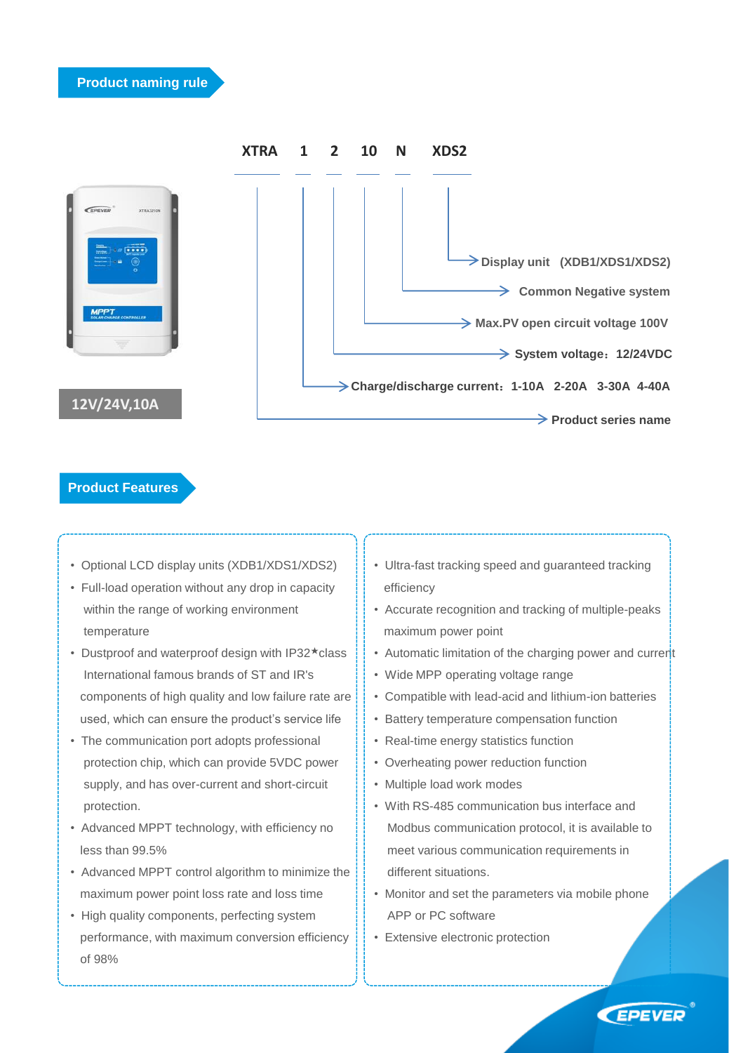

### **Product Features**

- Optional LCD display units (XDB1/XDS1/XDS2)
- Full-load operation without any drop in capacity within the range of working environment temperature
- Dustproof and waterproof design with IP32★class International famous brands of ST and IR's components of high quality and low failure rate are used, which can ensure the product's service life
- The communication port adopts professional protection chip, which can provide 5VDC power supply, and has over-current and short-circuit protection.
- Advanced MPPT technology, with efficiency no less than 99.5%
- Advanced MPPT control algorithm to minimize the maximum power point loss rate and loss time
- High quality components, perfecting system performance, with maximum conversion efficiency of 98%
- Ultra-fast tracking speed and guaranteed tracking efficiency
- Accurate recognition and tracking of multiple-peaks maximum power point
- Automatic limitation of the charging power and current
- Wide MPP operating voltage range
- Compatible with lead-acid and lithium-ion batteries
- Battery temperature compensation function
- Real-time energy statistics function
- Overheating power reduction function
- Multiple load work modes
- With RS-485 communication bus interface and Modbus communication protocol, it is available to meet various communication requirements in different situations.
- Monitor and set the parameters via mobile phone APP or PC software
- Extensive electronic protection

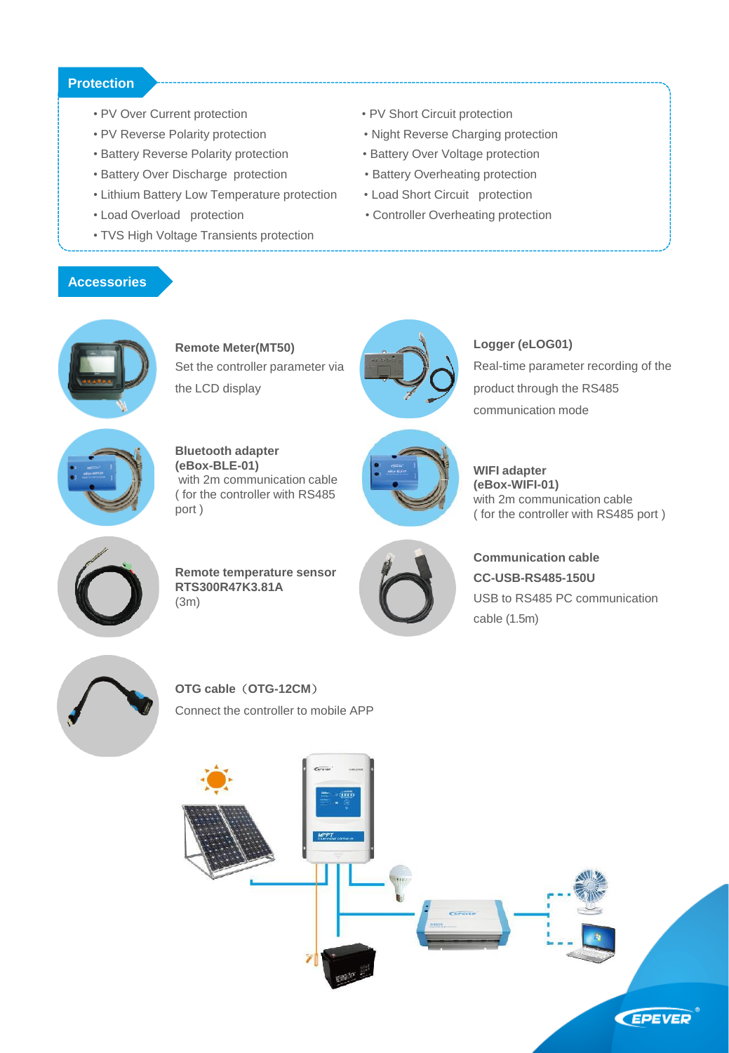#### **Protection**

- PV Over Current protection PV Short Circuit protection
- PV Reverse Polarity protection Night Reverse Charging protection
- Battery Reverse Polarity protection Battery Over Voltage protection
- Battery Over Discharge protection Battery Overheating protection
- Lithium Battery Low Temperature protection Load Short Circuit protection
- 
- TVS High Voltage Transients protection
- 
- 
- 
- 
- 
- Load Overload protection Controller Overheating protection

#### **Accessories**



**Remote Meter(MT50)** Set the controller parameter via the LCD display



Real-time parameter recording of the product through the RS485 communication mode

**Logger (eLOG01)**



**Bluetooth adapter (eBox-BLE-01)** with 2m communication cable ( for the controller with RS485 port )



**WIFI adapter (eBox-WIFI-01)** with 2m communication cable ( for the controller with RS485 port )



**Remote temperature sensor RTS300R47K3.81A** (3m)



**Communication cable CC-USB-RS485-150U** USB to RS485 PC communication cable (1.5m)



**OTG cable**(**OTG-12CM**) Connect the controller to mobile APP

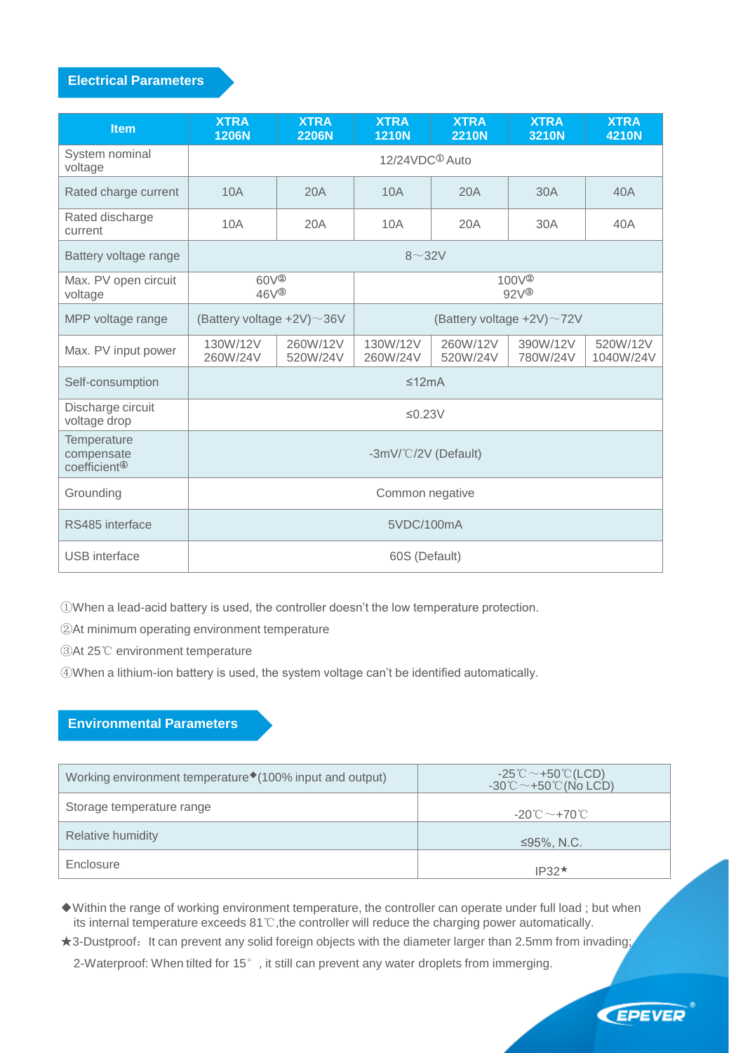#### **Electrical Parameters**

| <b>Item</b>                                           | <b>XTRA</b><br><b>1206N</b>           | <b>XTRA</b><br><b>2206N</b> | <b>XTRA</b><br><b>1210N</b>             | <b>XTRA</b><br><b>2210N</b> | <b>XTRA</b><br>3210N | <b>XTRA</b><br><b>4210N</b> |
|-------------------------------------------------------|---------------------------------------|-----------------------------|-----------------------------------------|-----------------------------|----------------------|-----------------------------|
| System nominal<br>voltage                             | 12/24VDC <sup>①</sup> Auto            |                             |                                         |                             |                      |                             |
| Rated charge current                                  | 10A                                   | 20A                         | 10A                                     | 20A                         | 30A                  | 40A                         |
| Rated discharge<br>current                            | 10A                                   | 20A                         | 10A                                     | 20A                         | 30A                  | 40A                         |
| Battery voltage range                                 | $8\sim32V$                            |                             |                                         |                             |                      |                             |
| Max. PV open circuit<br>voltage                       | 60V <sup>2</sup><br>$46V^{\circledR}$ |                             | $100V^{\circledR}$<br>$92V^{\circledS}$ |                             |                      |                             |
| MPP voltage range                                     | (Battery voltage $+2V$ ) ~ 36V        |                             | (Battery voltage $+2V$ ) ~72V           |                             |                      |                             |
| Max. PV input power                                   | 130W/12V<br>260W/24V                  | 260W/12V<br>520W/24V        | 130W/12V<br>260W/24V                    | 260W/12V<br>520W/24V        | 390W/12V<br>780W/24V | 520W/12V<br>1040W/24V       |
| Self-consumption                                      | ≤12mA                                 |                             |                                         |                             |                      |                             |
| Discharge circuit<br>voltage drop                     | $\leq$ 0.23V                          |                             |                                         |                             |                      |                             |
| Temperature<br>compensate<br>coefficient <sup>4</sup> | -3mV/°C/2V (Default)                  |                             |                                         |                             |                      |                             |
| Grounding                                             | Common negative                       |                             |                                         |                             |                      |                             |
| RS485 interface                                       | 5VDC/100mA                            |                             |                                         |                             |                      |                             |
| <b>USB</b> interface                                  | 60S (Default)                         |                             |                                         |                             |                      |                             |

①When a lead-acid battery is used, the controller doesn't the low temperature protection.

②At minimum operating environment temperature

③At 25℃ environment temperature

④When a lithium-ion battery is used, the system voltage can't be identified automatically.

#### **Environmental Parameters**

| Working environment temperature <sup>*</sup> (100% input and output) | $-25^{\circ}\text{C} \sim +50^{\circ}\text{C}$ (LCD)<br>-30°C $\sim$ +50°C (No LCD) |
|----------------------------------------------------------------------|-------------------------------------------------------------------------------------|
| Storage temperature range                                            | -20 $^\circ\text{C} \sim$ +70 $^\circ\text{C}$ .                                    |
| Relative humidity                                                    | $\leq$ 95%, N.C.                                                                    |
| Enclosure                                                            | $IP32*$                                                                             |

◆Within the range of working environment temperature, the controller can operate under full load ; but when its internal temperature exceeds 81℃,the controller will reduce the charging power automatically.

★3-Dustproof: It can prevent any solid foreign objects with the diameter larger than 2.5mm from invading;

2-Waterproof: When tilted for 15°, it still can prevent any water droplets from immerging.